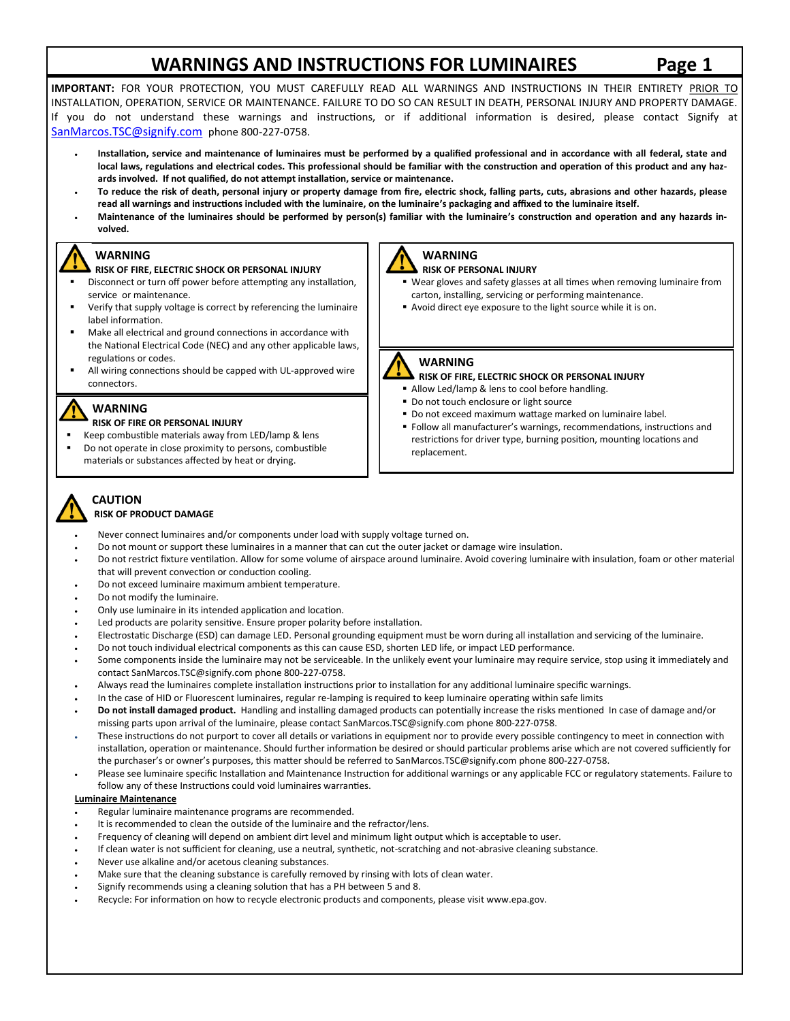# **WARNINGS AND INSTRUCTIONS FOR LUMINAIRES Page 1**

**IMPORTANT:** FOR YOUR PROTECTION, YOU MUST CAREFULLY READ ALL WARNINGS AND INSTRUCTIONS IN THEIR ENTIRETY PRIOR TO INSTALLATION, OPERATION, SERVICE OR MAINTENANCE. FAILURE TO DO SO CAN RESULT IN DEATH, PERSONAL INJURY AND PROPERTY DAMAGE. If you do not understand these warnings and instructions, or if additional information is desired, please contact Signify at SanMarcos.TSC@signify.com phone 800-227-0758.

- **Installation, service and maintenance of luminaires must be performed by a qualified professional and in accordance with all federal, state and local laws, regulations and electrical codes. This professional should be familiar with the construction and operation of this product and any hazards involved. If not qualified, do not attempt installation, service or maintenance.**
- **To reduce the risk of death, personal injury or property damage from fire, electric shock, falling parts, cuts, abrasions and other hazards, please read all warnings and instructions included with the luminaire, on the luminaire's packaging and affixed to the luminaire itself.**
- **Maintenance of the luminaires should be performed by person(s) familiar with the luminaire's construction and operation and any hazards involved.**

### **WARNING**

#### **RISK OF FIRE, ELECTRIC SHOCK OR PERSONAL INJURY**  Disconnect or turn off power before attempting any installation,

- service or maintenance. Verify that supply voltage is correct by referencing the luminaire
- label information.
- Make all electrical and ground connections in accordance with the National Electrical Code (NEC) and any other applicable laws, regulations or codes.
- All wiring connections should be capped with UL-approved wire connectors.

### **WARNING**

#### **RISK OF FIRE OR PERSONAL INJURY**

- Keep combustible materials away from LED/lamp & lens Do not operate in close proximity to persons, combustible
- materials or substances affected by heat or drying.



## **RISK OF PERSONAL INJURY**

- Wear gloves and safety glasses at all times when removing luminaire from carton, installing, servicing or performing maintenance.
- Avoid direct eye exposure to the light source while it is on.

### **WARNING**

#### **RISK OF FIRE, ELECTRIC SHOCK OR PERSONAL INJURY**

- Allow Led/lamp & lens to cool before handling.
- Do not touch enclosure or light source
- Do not exceed maximum wattage marked on luminaire label.
- Follow all manufacturer's warnings, recommendations, instructions and restrictions for driver type, burning position, mounting locations and replacement.

#### **CAUTION RISK OF PRODUCT DAMAGE**

- Never connect luminaires and/or components under load with supply voltage turned on.
- Do not mount or support these luminaires in a manner that can cut the outer jacket or damage wire insulation.
- Do not restrict fixture ventilation. Allow for some volume of airspace around luminaire. Avoid covering luminaire with insulation, foam or other material that will prevent convection or conduction cooling.
- Do not exceed luminaire maximum ambient temperature.
- Do not modify the luminaire.
- Only use luminaire in its intended application and location.
- Led products are polarity sensitive. Ensure proper polarity before installation.
- Electrostatic Discharge (ESD) can damage LED. Personal grounding equipment must be worn during all installation and servicing of the luminaire.
- Do not touch individual electrical components as this can cause ESD, shorten LED life, or impact LED performance.
- Some components inside the luminaire may not be serviceable. In the unlikely event your luminaire may require service, stop using it immediately and contact SanMarcos.TSC@signify.com phone 800-227-0758.
- Always read the luminaires complete installation instructions prior to installation for any additional luminaire specific warnings.
- In the case of HID or Fluorescent luminaires, regular re-lamping is required to keep luminaire operating within safe limits
- **Do not install damaged product.** Handling and installing damaged products can potentially increase the risks mentioned In case of damage and/or missing parts upon arrival of the luminaire, please contact SanMarcos.TSC@signify.com phone 800-227-0758.
- These instructions do not purport to cover all details or variations in equipment nor to provide every possible contingency to meet in connection with installation, operation or maintenance. Should further information be desired or should particular problems arise which are not covered sufficiently for the purchaser's or owner's purposes, this matter should be referred to SanMarcos.TSC@signify.com phone 800-227-0758.
- Please see luminaire specific Installation and Maintenance Instruction for additional warnings or any applicable FCC or regulatory statements. Failure to follow any of these Instructions could void luminaires warranties.

#### **Luminaire Maintenance**

- Regular luminaire maintenance programs are recommended.
- It is recommended to clean the outside of the luminaire and the refractor/lens.
- Frequency of cleaning will depend on ambient dirt level and minimum light output which is acceptable to user.
- If clean water is not sufficient for cleaning, use a neutral, synthetic, not-scratching and not-abrasive cleaning substance.
- Never use alkaline and/or acetous cleaning substances.
- Make sure that the cleaning substance is carefully removed by rinsing with lots of clean water.
- Signify recommends using a cleaning solution that has a PH between 5 and 8.
- Recycle: For information on how to recycle electronic products and components, please visit www.epa.gov.